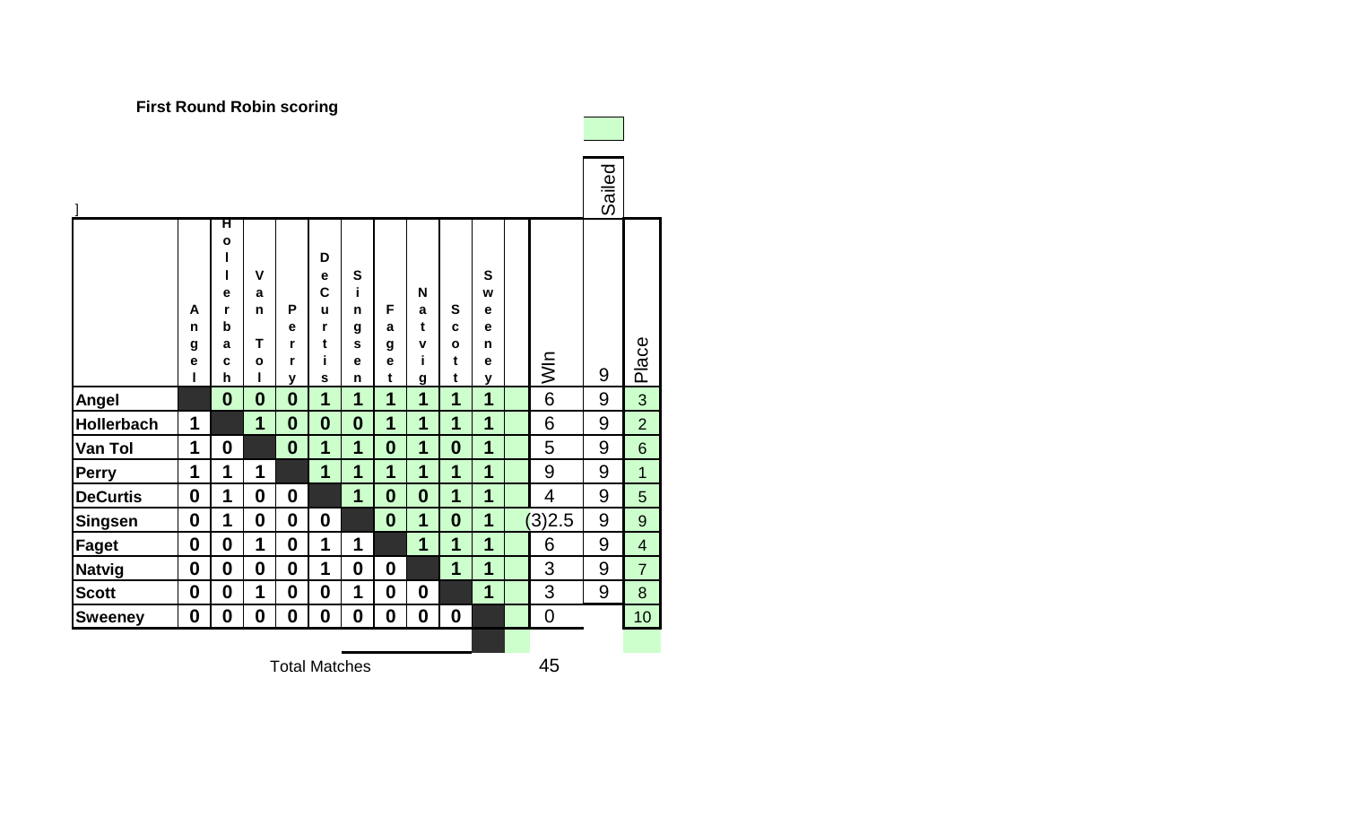| 1                 |                       |                                                           |                                       |                                  |                                                |                                 |                         |                                   |                                            |                                 |                          | Sailed |                |
|-------------------|-----------------------|-----------------------------------------------------------|---------------------------------------|----------------------------------|------------------------------------------------|---------------------------------|-------------------------|-----------------------------------|--------------------------------------------|---------------------------------|--------------------------|--------|----------------|
|                   | A<br>n<br>g<br>e<br>ı | ਸ<br>$\mathbf{o}$<br>ı<br>ı<br>е<br>r<br>b<br>a<br>C<br>h | V<br>a<br>n<br>Т<br>$\mathbf{o}$<br>I | P<br>e<br>r<br>r<br>$\mathbf{V}$ | D<br>e<br>$\mathbf c$<br>u<br>r<br>t<br>i<br>S | S<br>i<br>n<br>g<br>S<br>e<br>n | F<br>a<br>g<br>e<br>t   | N<br>a<br>t<br>v<br>İ<br><u>g</u> | S<br>$\mathbf c$<br>$\mathbf{o}$<br>t<br>t | S<br>W<br>е<br>e<br>n<br>e<br>У | $\frac{1}{2}$            | 9      | Place          |
| Angel             |                       | $\bf{0}$                                                  | $\bf{0}$                              | $\bf{0}$                         | 1                                              | 1                               | 1                       | 1                                 | 1                                          | 1                               | 6                        | 9      | 3              |
| <b>Hollerbach</b> | 1                     |                                                           | 1                                     | $\bf{0}$                         | $\boldsymbol{0}$                               | $\boldsymbol{0}$                | 1                       | 1                                 | 1                                          | 1                               | 6                        | 9      | $\overline{2}$ |
| <b>Van Tol</b>    | 1                     | $\boldsymbol{0}$                                          |                                       | $\bf{0}$                         | 1                                              | 1                               | $\boldsymbol{0}$        | 1                                 | $\boldsymbol{0}$                           | 1                               | 5                        | 9      | $6\phantom{1}$ |
| <b>Perry</b>      | 1                     | 1                                                         | 1                                     |                                  | 1                                              | 1                               | $\overline{\mathbf{1}}$ | 1                                 | 1                                          | 1                               | 9                        | 9      | $\overline{1}$ |
| <b>DeCurtis</b>   | $\boldsymbol{0}$      | 1                                                         | $\boldsymbol{0}$                      | $\boldsymbol{0}$                 |                                                | 1                               | $\boldsymbol{0}$        | $\boldsymbol{0}$                  | 1                                          | 1                               | $\overline{\mathcal{A}}$ | 9      | 5              |
| Singsen           | $\boldsymbol{0}$      | 1                                                         | $\boldsymbol{0}$                      | $\bf{0}$                         | $\boldsymbol{0}$                               |                                 | $\boldsymbol{0}$        | 1                                 | $\boldsymbol{0}$                           | 1                               | (3)2.5                   | 9      | $\overline{9}$ |
| Faget             | $\boldsymbol{0}$      | $\bf{0}$                                                  | $\mathbf 1$                           | $\bf{0}$                         | 1                                              | 1                               |                         | 1                                 | 1                                          | 1                               | 6                        | 9      | $\overline{4}$ |
| Natvig            | $\boldsymbol{0}$      | $\boldsymbol{0}$                                          | $\boldsymbol{0}$                      | $\bf{0}$                         | 1                                              | $\boldsymbol{0}$                | $\boldsymbol{0}$        |                                   | 1                                          | 1                               | 3                        | 9      | $\overline{7}$ |
| <b>Scott</b>      | $\boldsymbol{0}$      | $\boldsymbol{0}$                                          | 1                                     | $\boldsymbol{0}$                 | $\boldsymbol{0}$                               | 1                               | $\boldsymbol{0}$        | $\boldsymbol{0}$                  |                                            | 1                               | 3                        | 9      | 8              |
| <b>Sweeney</b>    | $\boldsymbol{0}$      | $\boldsymbol{0}$                                          | $\boldsymbol{0}$                      | $\boldsymbol{0}$                 | $\boldsymbol{0}$                               | $\boldsymbol{0}$                | $\boldsymbol{0}$        | $\boldsymbol{0}$                  | $\boldsymbol{0}$                           |                                 | $\mathbf 0$              |        | 10             |
|                   |                       |                                                           |                                       |                                  |                                                |                                 |                         |                                   |                                            |                                 |                          |        |                |

**First Round Robin scoring**

Total Matches 45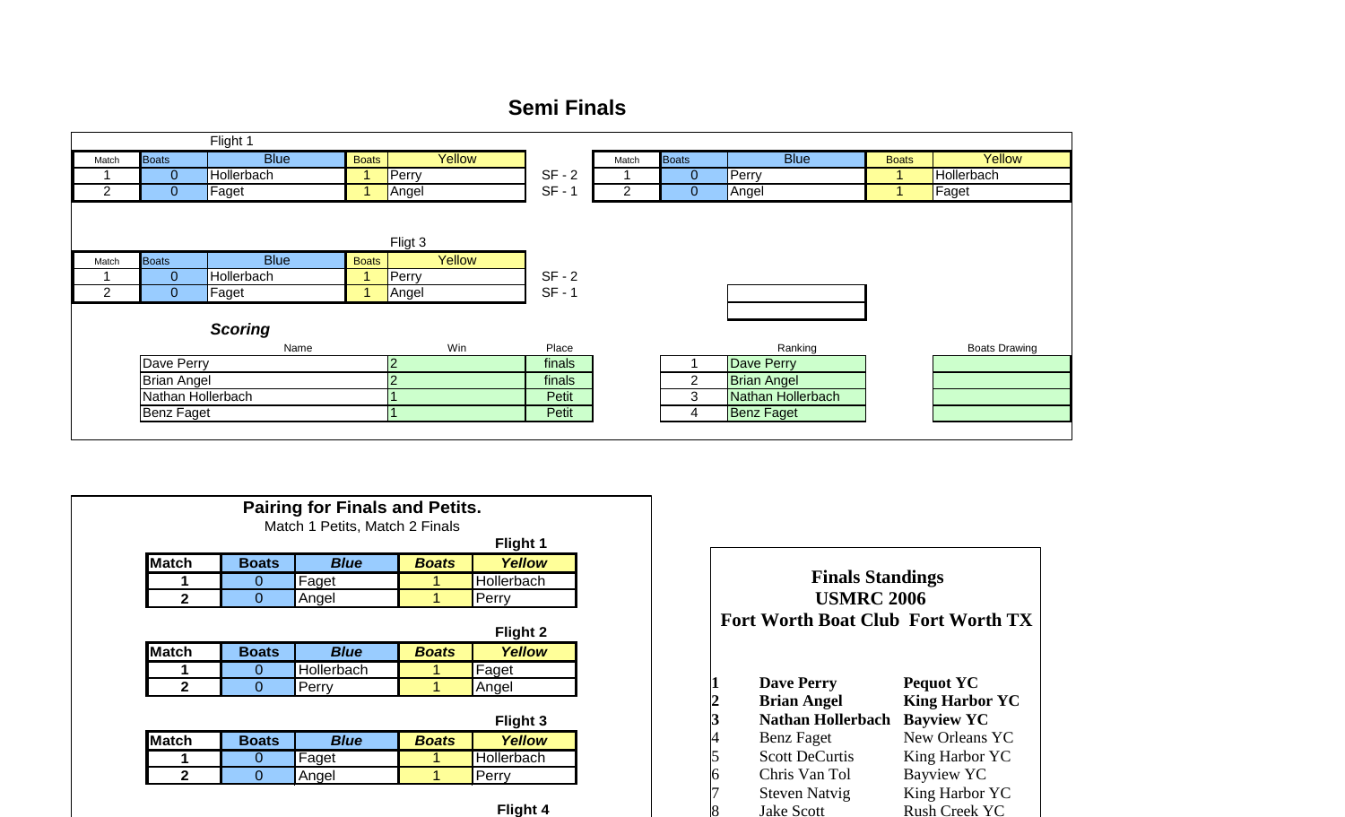## **Semi Finals**

|       |                    | Flight 1       |              |         |          |       |                |                    |              |                      |
|-------|--------------------|----------------|--------------|---------|----------|-------|----------------|--------------------|--------------|----------------------|
| Match | <b>Boats</b>       | <b>Blue</b>    | <b>Boats</b> | Yellow  |          | Match | <b>Boats</b>   | <b>Blue</b>        | <b>Boats</b> | Yellow               |
|       | $\overline{0}$     | Hollerbach     |              | Perry   | $SF - 2$ |       | $\mathbf 0$    | Perry              |              | Hollerbach           |
|       | $\overline{0}$     | Faget          |              | Angel   | $SF - 1$ | 2     | $\mathbf 0$    | Angel              |              | Faget                |
|       |                    |                |              |         |          |       |                |                    |              |                      |
|       |                    |                |              |         |          |       |                |                    |              |                      |
|       |                    |                |              | Fligt 3 |          |       |                |                    |              |                      |
| Match | <b>Boats</b>       | <b>Blue</b>    | <b>Boats</b> | Yellow  |          |       |                |                    |              |                      |
|       | $\overline{0}$     | Hollerbach     |              | Perry   | $SF - 2$ |       |                |                    |              |                      |
| ◠     | $\overline{0}$     | Faget          |              | Angel   | $SF - 1$ |       |                |                    |              |                      |
|       |                    |                |              |         |          |       |                |                    |              |                      |
|       |                    | <b>Scoring</b> |              |         |          |       |                |                    |              |                      |
|       |                    | Name           |              | Win     | Place    |       |                | Ranking            |              | <b>Boats Drawing</b> |
|       | Dave Perry         |                |              | 2       | finals   |       |                | <b>Dave Perry</b>  |              |                      |
|       | <b>Brian Angel</b> |                |              | $\sim$  | finals   |       | $\overline{2}$ | <b>Brian Angel</b> |              |                      |
|       | Nathan Hollerbach  |                |              |         | Petit    |       | 3              | Nathan Hollerbach  |              |                      |
|       | <b>Benz Faget</b>  |                |              |         | Petit    |       | 4              | <b>Benz Faget</b>  |              |                      |
|       |                    |                |              |         |          |       |                |                    |              |                      |

**Flight 4** 

| <b>Pairing for Finals and Petits.</b><br>Match 1 Petits, Match 2 Finals |              |             |              |                           |  |  |  |
|-------------------------------------------------------------------------|--------------|-------------|--------------|---------------------------|--|--|--|
| Flight 1                                                                |              |             |              |                           |  |  |  |
| <b>Match</b>                                                            | <b>Boats</b> | <b>Blue</b> | <b>Boats</b> | Yellow                    |  |  |  |
| 1                                                                       | O            | Faget       |              | Hollerbach                |  |  |  |
| $\mathbf{2}$                                                            | 0            | Angel       | 1            | Perry                     |  |  |  |
|                                                                         |              |             |              |                           |  |  |  |
|                                                                         |              |             |              |                           |  |  |  |
|                                                                         | <b>Boats</b> | <b>Blue</b> | <b>Boats</b> | Flight 2<br><b>Yellow</b> |  |  |  |
|                                                                         | Ő            | Hollerbach  |              | Faget                     |  |  |  |
| $\mathbf{2}$                                                            | 0            | Perry       | 1            | Angel                     |  |  |  |
| <b>Match</b>                                                            |              |             |              | Flight 3                  |  |  |  |
| <b>Match</b>                                                            | <b>Boats</b> | <b>Blue</b> | <b>Boats</b> | <b>Yellow</b>             |  |  |  |
|                                                                         | O            | Faget       | 1            | Hollerbach                |  |  |  |

|                         | <b>USMRC 2006</b><br><b>Fort Worth Boat Club Fort Worth TX</b> |                       |
|-------------------------|----------------------------------------------------------------|-----------------------|
|                         | <b>Dave Perry</b>                                              | <b>Pequot YC</b>      |
| $\frac{1}{2}$ 3 4 5 6 7 | <b>Brian Angel</b>                                             | <b>King Harbor YC</b> |
|                         | <b>Nathan Hollerbach</b>                                       | <b>Bayview YC</b>     |
|                         | Benz Faget                                                     | New Orleans YC        |
|                         | <b>Scott DeCurtis</b>                                          | King Harbor YC        |
|                         | Chris Van Tol                                                  | <b>Bayview YC</b>     |
|                         | <b>Steven Natvig</b>                                           | King Harbor YC        |
|                         | <b>Jake Scott</b>                                              | <u>Rush Creek YC</u>  |

**Finals Standings**